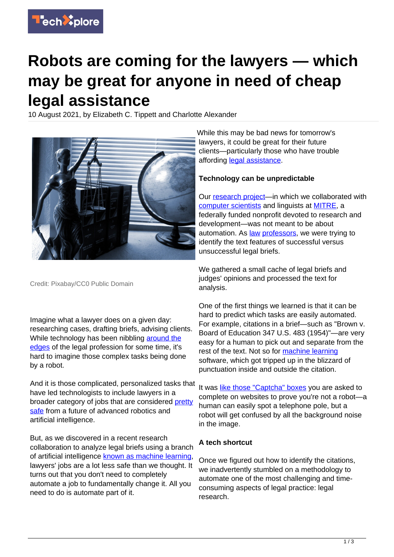

# **Robots are coming for the lawyers — which may be great for anyone in need of cheap legal assistance**

10 August 2021, by Elizabeth C. Tippett and Charlotte Alexander



Credit: Pixabay/CC0 Public Domain

Imagine what a lawyer does on a given day: researching cases, drafting briefs, advising clients. While technology has been nibbling [around the](https://www.rocketlawyer.com/) [edges](https://www.rocketlawyer.com/) of the legal profession for some time, it's hard to imagine those complex tasks being done by a robot.

And it is those complicated, personalized tasks that have led technologists to include lawyers in a broader category of jobs that are considered [pretty](https://www.fastcompany.com/90221230/these-jobs-are-safe-from-being-replaced-by-automation) [safe](https://www.fastcompany.com/90221230/these-jobs-are-safe-from-being-replaced-by-automation) from a future of advanced robotics and artificial intelligence.

But, as we discovered in a recent research collaboration to analyze legal briefs using a branch of artificial intelligence [known as machine learning](https://www.ibm.com/cloud/learn/machine-learning), lawyers' jobs are a lot less safe than we thought. It turns out that you don't need to completely automate a job to fundamentally change it. All you need to do is automate part of it.

While this may be bad news for tomorrow's lawyers, it could be great for their future clients—particularly those who have trouble affording [legal assistance.](https://techxplore.com/tags/legal+assistance/)

#### **Technology can be unpredictable**

Our [research project—](https://papers.ssrn.com/sol3/papers.cfm?abstract_id=3811710)in which we collaborated with [computer scientists](https://techxplore.com/tags/computer+scientists/) and linguists at [MITRE](https://www.mitre.org/), a federally funded nonprofit devoted to research and development—was not meant to be about automation. As [law](https://law.uoregon.edu/people/faculty/tippett) [professors,](https://scholar.google.com/citations?user=TBORAN0AAAAJ&hl=en&oi=ao) we were trying to identify the text features of successful versus unsuccessful legal briefs.

We gathered a small cache of legal briefs and judges' opinions and processed the text for analysis.

One of the first things we learned is that it can be hard to predict which tasks are easily automated. For example, citations in a brief—such as "Brown v. Board of Education 347 U.S. 483 (1954)"—are very easy for a human to pick out and separate from the rest of the text. Not so for [machine learning](https://techxplore.com/tags/machine+learning/) software, which got tripped up in the blizzard of punctuation inside and outside the citation.

It was [like those "Captcha" boxes](http://captcha.net/) you are asked to complete on websites to prove you're not a robot—a human can easily spot a telephone pole, but a robot will get confused by all the background noise in the image.

## **A tech shortcut**

Once we figured out how to identify the citations, we inadvertently stumbled on a methodology to automate one of the most challenging and timeconsuming aspects of legal practice: legal research.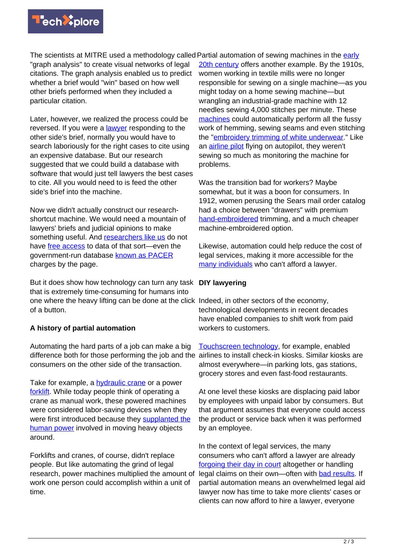

The scientists at MITRE used a methodology called Partial automation of sewing machines in the *[early](https://archive.org/details/fatigueefficien00gold)* "graph analysis" to create visual networks of legal citations. The graph analysis enabled us to predict whether a brief would "win" based on how well other briefs performed when they included a particular citation.

Later, however, we realized the process could be reversed. If you were a [lawyer](https://techxplore.com/tags/lawyer/) responding to the other side's brief, normally you would have to search laboriously for the right cases to cite using an expensive database. But our research suggested that we could build a database with software that would just tell lawyers the best cases to cite. All you would need to is feed the other side's brief into the machine.

Now we didn't actually construct our researchshortcut machine. We would need a mountain of lawyers' briefs and judicial opinions to make something useful. And [researchers like us](https://www.doi.org/10.1126/science.aba6914) do not have [free access](https://techxplore.com/tags/free+access/) to data of that sort-even the government-run database [known as PACER](https://pacer.uscourts.gov) charges by the page.

But it does show how technology can turn any task **DIY lawyering** that is extremely time-consuming for humans into one where the heavy lifting can be done at the click Indeed, in other sectors of the economy, of a button.

## **A history of partial automation**

Automating the hard parts of a job can make a big difference both for those performing the job and the airlines to install check-in kiosks. Similar kiosks are consumers on the other side of the transaction.

Take for example, a [hydraulic crane](https://books.google.ca/books?id=0c-8AAAAIAAJ&printsec=frontcover#v=onepage&q&f=false) or a power [forklift.](https://patents.google.com/patent/US1826489A) While today people think of operating a crane as manual work, these powered machines were considered labor-saving devices when they were first introduced because they [supplanted the](https://archive.org/details/in.ernet.dli.2015.156473/page/n7/mode/2up) [human power](https://archive.org/details/in.ernet.dli.2015.156473/page/n7/mode/2up) involved in moving heavy objects around.

Forklifts and cranes, of course, didn't replace people. But like automating the grind of legal research, power machines multiplied the amount of work one person could accomplish within a unit of time.

[20th century](https://archive.org/details/fatigueefficien00gold) offers another example. By the 1910s, women working in textile mills were no longer responsible for sewing on a single machine—as you might today on a home sewing machine—but wrangling an industrial-grade machine with 12 needles sewing 4,000 stitches per minute. These [machines](https://techxplore.com/tags/machines/) could automatically perform all the fussy work of hemming, sewing seams and even stitching the "[embroidery trimming of white underwear.](https://archive.org/details/fatigueefficien00gold)" Like an [airline pilot](https://techxplore.com/tags/airline+pilot/) flying on autopilot, they weren't sewing so much as monitoring the machine for problems.

Was the transition bad for workers? Maybe somewhat, but it was a boon for consumers. In 1912, women perusing the Sears mail order catalog had a choice between "drawers" with premium [hand-embroidered](https://babel.hathitrust.org/cgi/pt?id=njp.32101066804939&view=1up&seq=214&skin=2021&q1=embroidered) trimming, and a much cheaper machine-embroidered option.

Likewise, automation could help reduce the cost of legal services, making it more accessible for the [many individuals](https://www.justice.gov/archives/atj) who can't afford a lawyer.

technological developments in recent decades have enabled companies to shift work from paid workers to customers.

[Touchscreen technology](https://arstechnica.com/gadgets/2013/04/from-touch-displays-to-the-surface-a-brief-history-of-touchscreen-technology/2/), for example, enabled almost everywhere—in parking lots, gas stations, grocery stores and even fast-food restaurants.

At one level these kiosks are displacing paid labor by employees with unpaid labor by consumers. But that argument assumes that everyone could access the product or service back when it was performed by an employee.

In the context of legal services, the many consumers who can't afford a lawyer are already [forgoing their day in court](https://www.amacad.org/publication/access-what) altogether or handling legal claims on their own—often with [bad results.](https://digitalcommons.pepperdine.edu/plr/vol43/iss4/1/) If partial automation means an overwhelmed legal aid lawyer now has time to take more clients' cases or clients can now afford to hire a lawyer, everyone